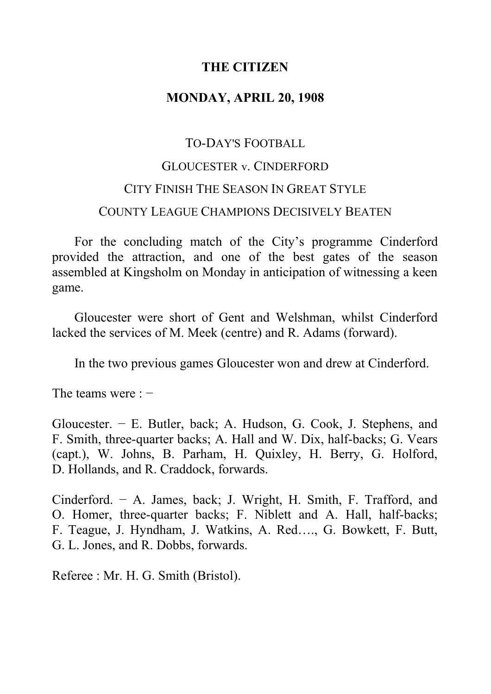## **THE CITIZEN**

## **MONDAY, APRIL 20, 1908**

# TO-DAY'S FOOTBALL GLOUCESTER v. CINDERFORD CITY FINISH THE SEASON IN GREAT STYLE COUNTY LEAGUE CHAMPIONS DECISIVELY BEATEN

For the concluding match of the City's programme Cinderford provided the attraction, and one of the best gates of the season assembled at Kingsholm on Monday in anticipation of witnessing a keen game.

Gloucester were short of Gent and Welshman, whilst Cinderford lacked the services of M. Meek (centre) and R. Adams (forward).

In the two previous games Gloucester won and drew at Cinderford.

The teams were : −

Gloucester. − E. Butler, back; A. Hudson, G. Cook, J. Stephens, and F. Smith, three-quarter backs; A. Hall and W. Dix, half-backs; G. Vears (capt.), W. Johns, B. Parham, H. Quixley, H. Berry, G. Holford, D. Hollands, and R. Craddock, forwards.

Cinderford. − A. James, back; J. Wright, H. Smith, F. Trafford, and O. Homer, three-quarter backs; F. Niblett and A. Hall, half-backs; F. Teague, J. Hyndham, J. Watkins, A. Red…., G. Bowkett, F. Butt, G. L. Jones, and R. Dobbs, forwards.

Referee : Mr. H. G. Smith (Bristol).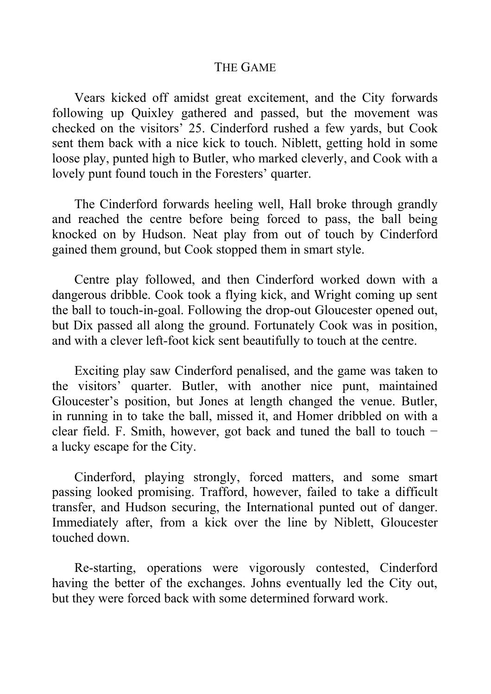#### THE GAME

Vears kicked off amidst great excitement, and the City forwards following up Quixley gathered and passed, but the movement was checked on the visitors' 25. Cinderford rushed a few yards, but Cook sent them back with a nice kick to touch. Niblett, getting hold in some loose play, punted high to Butler, who marked cleverly, and Cook with a lovely punt found touch in the Foresters' quarter.

The Cinderford forwards heeling well, Hall broke through grandly and reached the centre before being forced to pass, the ball being knocked on by Hudson. Neat play from out of touch by Cinderford gained them ground, but Cook stopped them in smart style.

Centre play followed, and then Cinderford worked down with a dangerous dribble. Cook took a flying kick, and Wright coming up sent the ball to touch-in-goal. Following the drop-out Gloucester opened out, but Dix passed all along the ground. Fortunately Cook was in position, and with a clever left-foot kick sent beautifully to touch at the centre.

Exciting play saw Cinderford penalised, and the game was taken to the visitors' quarter. Butler, with another nice punt, maintained Gloucester's position, but Jones at length changed the venue. Butler, in running in to take the ball, missed it, and Homer dribbled on with a clear field. F. Smith, however, got back and tuned the ball to touch − a lucky escape for the City.

Cinderford, playing strongly, forced matters, and some smart passing looked promising. Trafford, however, failed to take a difficult transfer, and Hudson securing, the International punted out of danger. Immediately after, from a kick over the line by Niblett, Gloucester touched down.

Re-starting, operations were vigorously contested, Cinderford having the better of the exchanges. Johns eventually led the City out, but they were forced back with some determined forward work.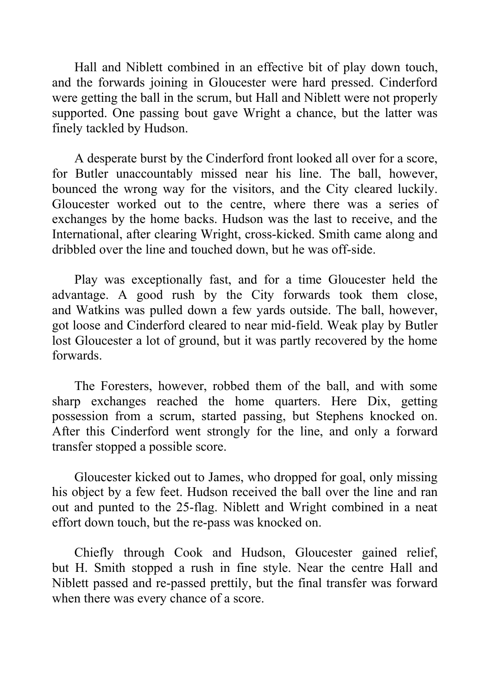Hall and Niblett combined in an effective bit of play down touch, and the forwards joining in Gloucester were hard pressed. Cinderford were getting the ball in the scrum, but Hall and Niblett were not properly supported. One passing bout gave Wright a chance, but the latter was finely tackled by Hudson.

A desperate burst by the Cinderford front looked all over for a score, for Butler unaccountably missed near his line. The ball, however, bounced the wrong way for the visitors, and the City cleared luckily. Gloucester worked out to the centre, where there was a series of exchanges by the home backs. Hudson was the last to receive, and the International, after clearing Wright, cross-kicked. Smith came along and dribbled over the line and touched down, but he was off-side.

Play was exceptionally fast, and for a time Gloucester held the advantage. A good rush by the City forwards took them close, and Watkins was pulled down a few yards outside. The ball, however, got loose and Cinderford cleared to near mid-field. Weak play by Butler lost Gloucester a lot of ground, but it was partly recovered by the home forwards.

The Foresters, however, robbed them of the ball, and with some sharp exchanges reached the home quarters. Here Dix, getting possession from a scrum, started passing, but Stephens knocked on. After this Cinderford went strongly for the line, and only a forward transfer stopped a possible score.

Gloucester kicked out to James, who dropped for goal, only missing his object by a few feet. Hudson received the ball over the line and ran out and punted to the 25-flag. Niblett and Wright combined in a neat effort down touch, but the re-pass was knocked on.

Chiefly through Cook and Hudson, Gloucester gained relief, but H. Smith stopped a rush in fine style. Near the centre Hall and Niblett passed and re-passed prettily, but the final transfer was forward when there was every chance of a score.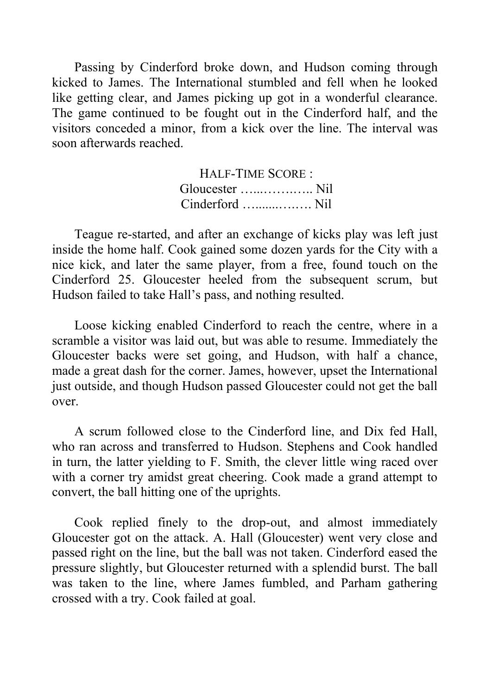Passing by Cinderford broke down, and Hudson coming through kicked to James. The International stumbled and fell when he looked like getting clear, and James picking up got in a wonderful clearance. The game continued to be fought out in the Cinderford half, and the visitors conceded a minor, from a kick over the line. The interval was soon afterwards reached.

> HALF-TIME SCORE : Gloucester …...…….….. Nil Cinderford ….......….…. Nil

Teague re-started, and after an exchange of kicks play was left just inside the home half. Cook gained some dozen yards for the City with a nice kick, and later the same player, from a free, found touch on the Cinderford 25. Gloucester heeled from the subsequent scrum, but Hudson failed to take Hall's pass, and nothing resulted.

Loose kicking enabled Cinderford to reach the centre, where in a scramble a visitor was laid out, but was able to resume. Immediately the Gloucester backs were set going, and Hudson, with half a chance, made a great dash for the corner. James, however, upset the International just outside, and though Hudson passed Gloucester could not get the ball over.

A scrum followed close to the Cinderford line, and Dix fed Hall, who ran across and transferred to Hudson. Stephens and Cook handled in turn, the latter yielding to F. Smith, the clever little wing raced over with a corner try amidst great cheering. Cook made a grand attempt to convert, the ball hitting one of the uprights.

Cook replied finely to the drop-out, and almost immediately Gloucester got on the attack. A. Hall (Gloucester) went very close and passed right on the line, but the ball was not taken. Cinderford eased the pressure slightly, but Gloucester returned with a splendid burst. The ball was taken to the line, where James fumbled, and Parham gathering crossed with a try. Cook failed at goal.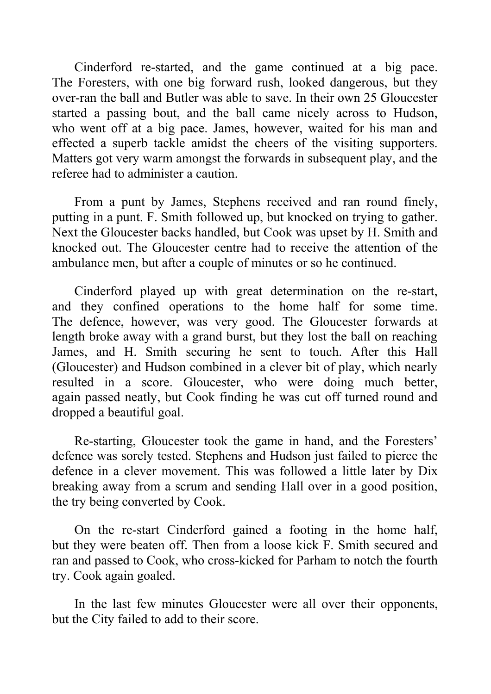Cinderford re-started, and the game continued at a big pace. The Foresters, with one big forward rush, looked dangerous, but they over-ran the ball and Butler was able to save. In their own 25 Gloucester started a passing bout, and the ball came nicely across to Hudson, who went off at a big pace. James, however, waited for his man and effected a superb tackle amidst the cheers of the visiting supporters. Matters got very warm amongst the forwards in subsequent play, and the referee had to administer a caution.

From a punt by James, Stephens received and ran round finely, putting in a punt. F. Smith followed up, but knocked on trying to gather. Next the Gloucester backs handled, but Cook was upset by H. Smith and knocked out. The Gloucester centre had to receive the attention of the ambulance men, but after a couple of minutes or so he continued.

Cinderford played up with great determination on the re-start, and they confined operations to the home half for some time. The defence, however, was very good. The Gloucester forwards at length broke away with a grand burst, but they lost the ball on reaching James, and H. Smith securing he sent to touch. After this Hall (Gloucester) and Hudson combined in a clever bit of play, which nearly resulted in a score. Gloucester, who were doing much better, again passed neatly, but Cook finding he was cut off turned round and dropped a beautiful goal.

Re-starting, Gloucester took the game in hand, and the Foresters' defence was sorely tested. Stephens and Hudson just failed to pierce the defence in a clever movement. This was followed a little later by Dix breaking away from a scrum and sending Hall over in a good position, the try being converted by Cook.

On the re-start Cinderford gained a footing in the home half, but they were beaten off. Then from a loose kick F. Smith secured and ran and passed to Cook, who cross-kicked for Parham to notch the fourth try. Cook again goaled.

In the last few minutes Gloucester were all over their opponents, but the City failed to add to their score.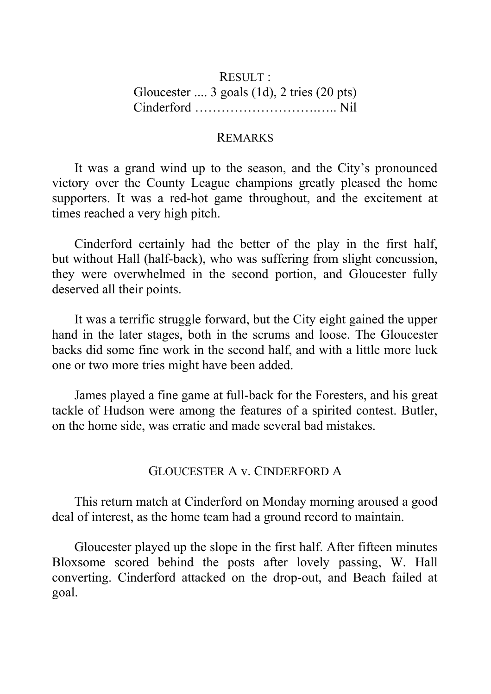## RESULT : Gloucester .... 3 goals (1d), 2 tries (20 pts) Cinderford ……………………….….. Nil

#### REMARKS

It was a grand wind up to the season, and the City's pronounced victory over the County League champions greatly pleased the home supporters. It was a red-hot game throughout, and the excitement at times reached a very high pitch.

Cinderford certainly had the better of the play in the first half, but without Hall (half-back), who was suffering from slight concussion, they were overwhelmed in the second portion, and Gloucester fully deserved all their points.

It was a terrific struggle forward, but the City eight gained the upper hand in the later stages, both in the scrums and loose. The Gloucester backs did some fine work in the second half, and with a little more luck one or two more tries might have been added.

James played a fine game at full-back for the Foresters, and his great tackle of Hudson were among the features of a spirited contest. Butler, on the home side, was erratic and made several bad mistakes.

#### GLOUCESTER A v. CINDERFORD A

This return match at Cinderford on Monday morning aroused a good deal of interest, as the home team had a ground record to maintain.

Gloucester played up the slope in the first half. After fifteen minutes Bloxsome scored behind the posts after lovely passing, W. Hall converting. Cinderford attacked on the drop-out, and Beach failed at goal.